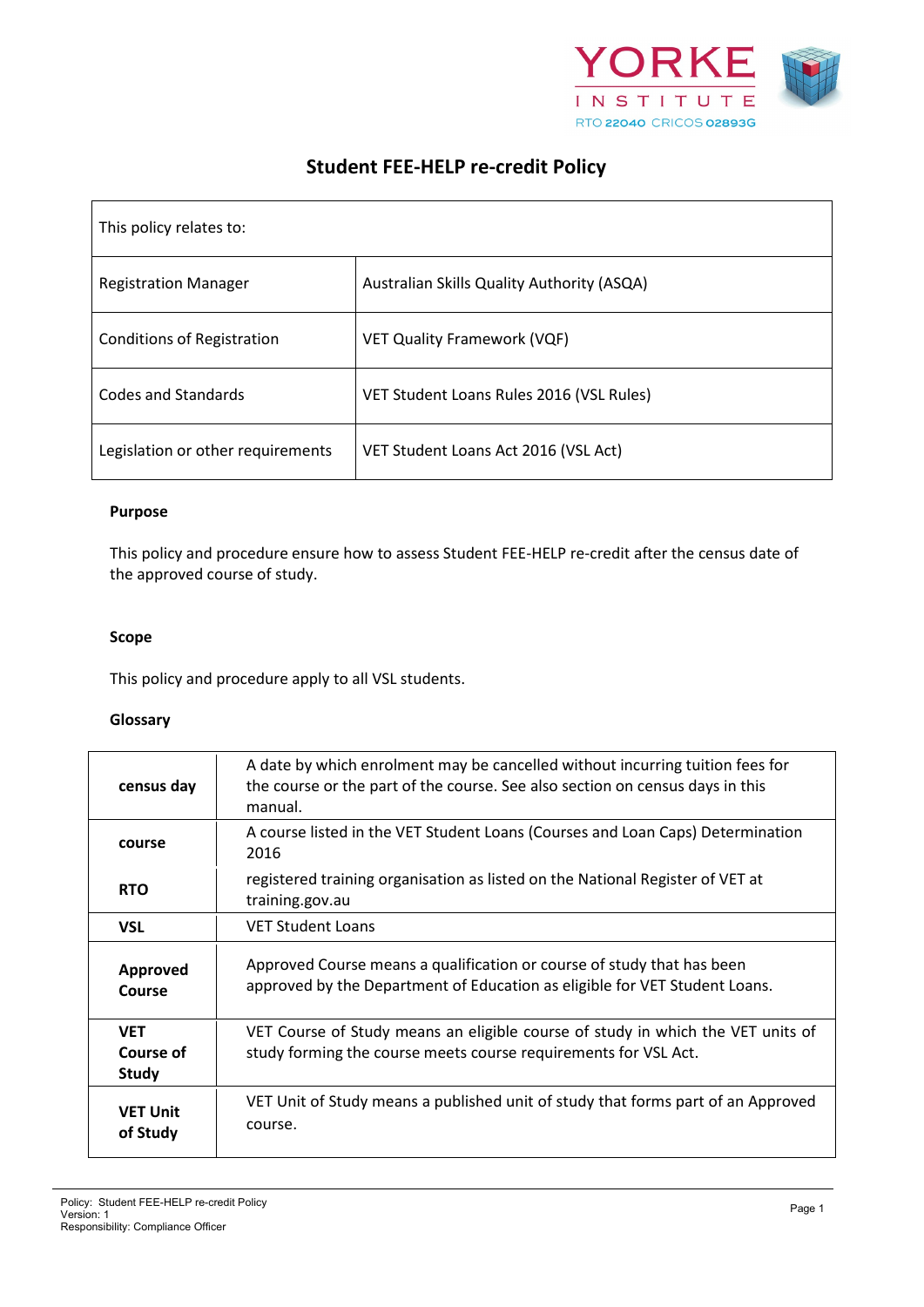

# **Student FEE-HELP re-credit Policy**

| This policy relates to:           |                                            |  |
|-----------------------------------|--------------------------------------------|--|
| <b>Registration Manager</b>       | Australian Skills Quality Authority (ASQA) |  |
| <b>Conditions of Registration</b> | <b>VET Quality Framework (VQF)</b>         |  |
| <b>Codes and Standards</b>        | VET Student Loans Rules 2016 (VSL Rules)   |  |
| Legislation or other requirements | VET Student Loans Act 2016 (VSL Act)       |  |

# **Purpose**

This policy and procedure ensure how to assess Student FEE-HELP re-credit after the census date of the approved course of study.

#### **Scope**

This policy and procedure apply to all VSL students.

#### **Glossary**

| census day                              | A date by which enrolment may be cancelled without incurring tuition fees for<br>the course or the part of the course. See also section on census days in this<br>manual. |
|-----------------------------------------|---------------------------------------------------------------------------------------------------------------------------------------------------------------------------|
| course                                  | A course listed in the VET Student Loans (Courses and Loan Caps) Determination<br>2016                                                                                    |
| <b>RTO</b>                              | registered training organisation as listed on the National Register of VET at<br>training.gov.au                                                                          |
| <b>VSL</b>                              | <b>VET Student Loans</b>                                                                                                                                                  |
| Approved<br>Course                      | Approved Course means a qualification or course of study that has been<br>approved by the Department of Education as eligible for VET Student Loans.                      |
| <b>VET</b><br>Course of<br><b>Study</b> | VET Course of Study means an eligible course of study in which the VET units of<br>study forming the course meets course requirements for VSL Act.                        |
| <b>VET Unit</b><br>of Study             | VET Unit of Study means a published unit of study that forms part of an Approved<br>course.                                                                               |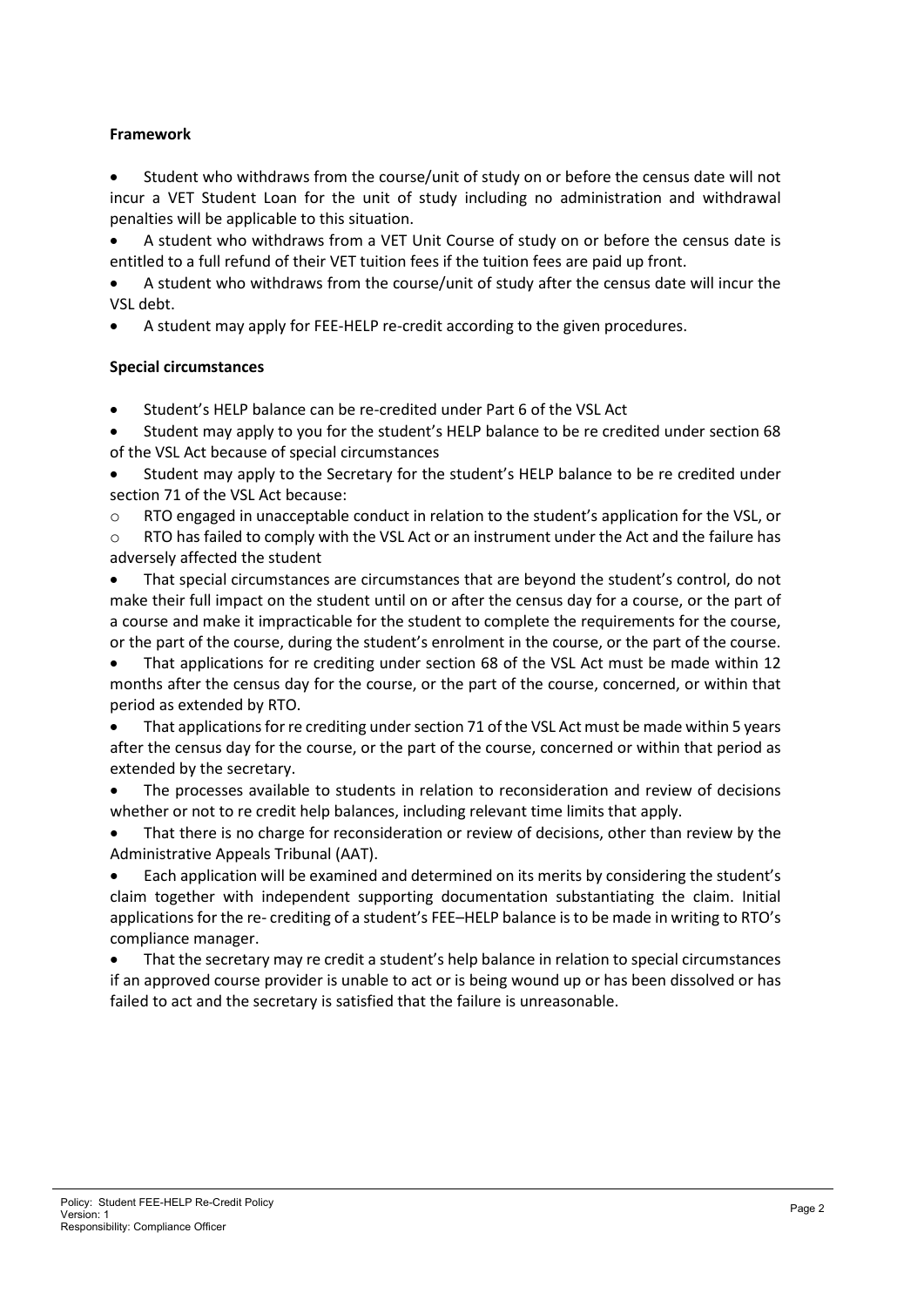# **Framework**

• Student who withdraws from the course/unit of study on or before the census date will not incur a VET Student Loan for the unit of study including no administration and withdrawal penalties will be applicable to this situation.

• A student who withdraws from a VET Unit Course of study on or before the census date is entitled to a full refund of their VET tuition fees if the tuition fees are paid up front.

• A student who withdraws from the course/unit of study after the census date will incur the VSL debt.

• A student may apply for FEE-HELP re-credit according to the given procedures.

# **Special circumstances**

• Student's HELP balance can be re-credited under Part 6 of the VSL Act

• Student may apply to you for the student's HELP balance to be re credited under section 68 of the VSL Act because of special circumstances

• Student may apply to the Secretary for the student's HELP balance to be re credited under section 71 of the VSL Act because:

o RTO engaged in unacceptable conduct in relation to the student's application for the VSL, or

 $\circ$  RTO has failed to comply with the VSL Act or an instrument under the Act and the failure has adversely affected the student

• That special circumstances are circumstances that are beyond the student's control, do not make their full impact on the student until on or after the census day for a course, or the part of a course and make it impracticable for the student to complete the requirements for the course, or the part of the course, during the student's enrolment in the course, or the part of the course.

That applications for re crediting under section 68 of the VSL Act must be made within 12 months after the census day for the course, or the part of the course, concerned, or within that period as extended by RTO.

• That applications for re crediting under section 71 of the VSL Act must be made within 5 years after the census day for the course, or the part of the course, concerned or within that period as extended by the secretary.

• The processes available to students in relation to reconsideration and review of decisions whether or not to re credit help balances, including relevant time limits that apply.

That there is no charge for reconsideration or review of decisions, other than review by the Administrative Appeals Tribunal (AAT).

• Each application will be examined and determined on its merits by considering the student's claim together with independent supporting documentation substantiating the claim. Initial applications for the re- crediting of a student's FEE–HELP balance is to be made in writing to RTO's compliance manager.

• That the secretary may re credit a student's help balance in relation to special circumstances if an approved course provider is unable to act or is being wound up or has been dissolved or has failed to act and the secretary is satisfied that the failure is unreasonable.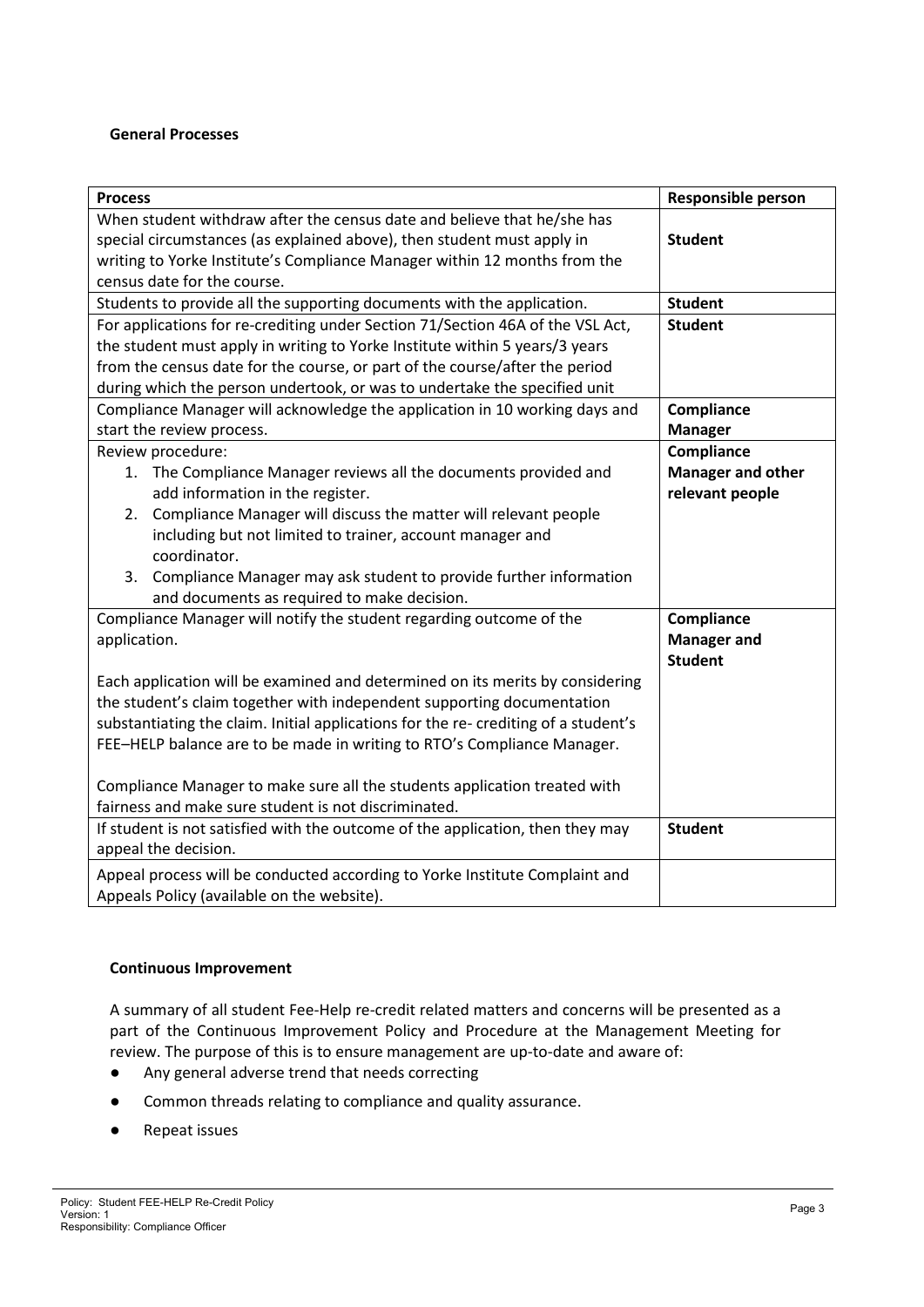## **General Processes**

| <b>Process</b>                                                                      | <b>Responsible person</b> |
|-------------------------------------------------------------------------------------|---------------------------|
| When student withdraw after the census date and believe that he/she has             |                           |
| special circumstances (as explained above), then student must apply in              | <b>Student</b>            |
| writing to Yorke Institute's Compliance Manager within 12 months from the           |                           |
| census date for the course.                                                         |                           |
| Students to provide all the supporting documents with the application.              | <b>Student</b>            |
| For applications for re-crediting under Section 71/Section 46A of the VSL Act,      | <b>Student</b>            |
| the student must apply in writing to Yorke Institute within 5 years/3 years         |                           |
| from the census date for the course, or part of the course/after the period         |                           |
| during which the person undertook, or was to undertake the specified unit           |                           |
| Compliance Manager will acknowledge the application in 10 working days and          | Compliance                |
| start the review process.                                                           | <b>Manager</b>            |
| Review procedure:                                                                   | Compliance                |
| 1. The Compliance Manager reviews all the documents provided and                    | <b>Manager and other</b>  |
| add information in the register.                                                    | relevant people           |
| Compliance Manager will discuss the matter will relevant people<br>2.               |                           |
| including but not limited to trainer, account manager and                           |                           |
| coordinator.                                                                        |                           |
| Compliance Manager may ask student to provide further information<br>3.             |                           |
| and documents as required to make decision.                                         |                           |
| Compliance Manager will notify the student regarding outcome of the                 | Compliance                |
| application.                                                                        | <b>Manager and</b>        |
|                                                                                     | <b>Student</b>            |
| Each application will be examined and determined on its merits by considering       |                           |
| the student's claim together with independent supporting documentation              |                           |
| substantiating the claim. Initial applications for the re- crediting of a student's |                           |
| FEE-HELP balance are to be made in writing to RTO's Compliance Manager.             |                           |
|                                                                                     |                           |
| Compliance Manager to make sure all the students application treated with           |                           |
| fairness and make sure student is not discriminated.                                |                           |
| If student is not satisfied with the outcome of the application, then they may      | <b>Student</b>            |
| appeal the decision.                                                                |                           |
| Appeal process will be conducted according to Yorke Institute Complaint and         |                           |
| Appeals Policy (available on the website).                                          |                           |

# **Continuous Improvement**

A summary of all student Fee-Help re-credit related matters and concerns will be presented as a part of the Continuous Improvement Policy and Procedure at the Management Meeting for review. The purpose of this is to ensure management are up-to-date and aware of:

- Any general adverse trend that needs correcting
- Common threads relating to compliance and quality assurance.
- Repeat issues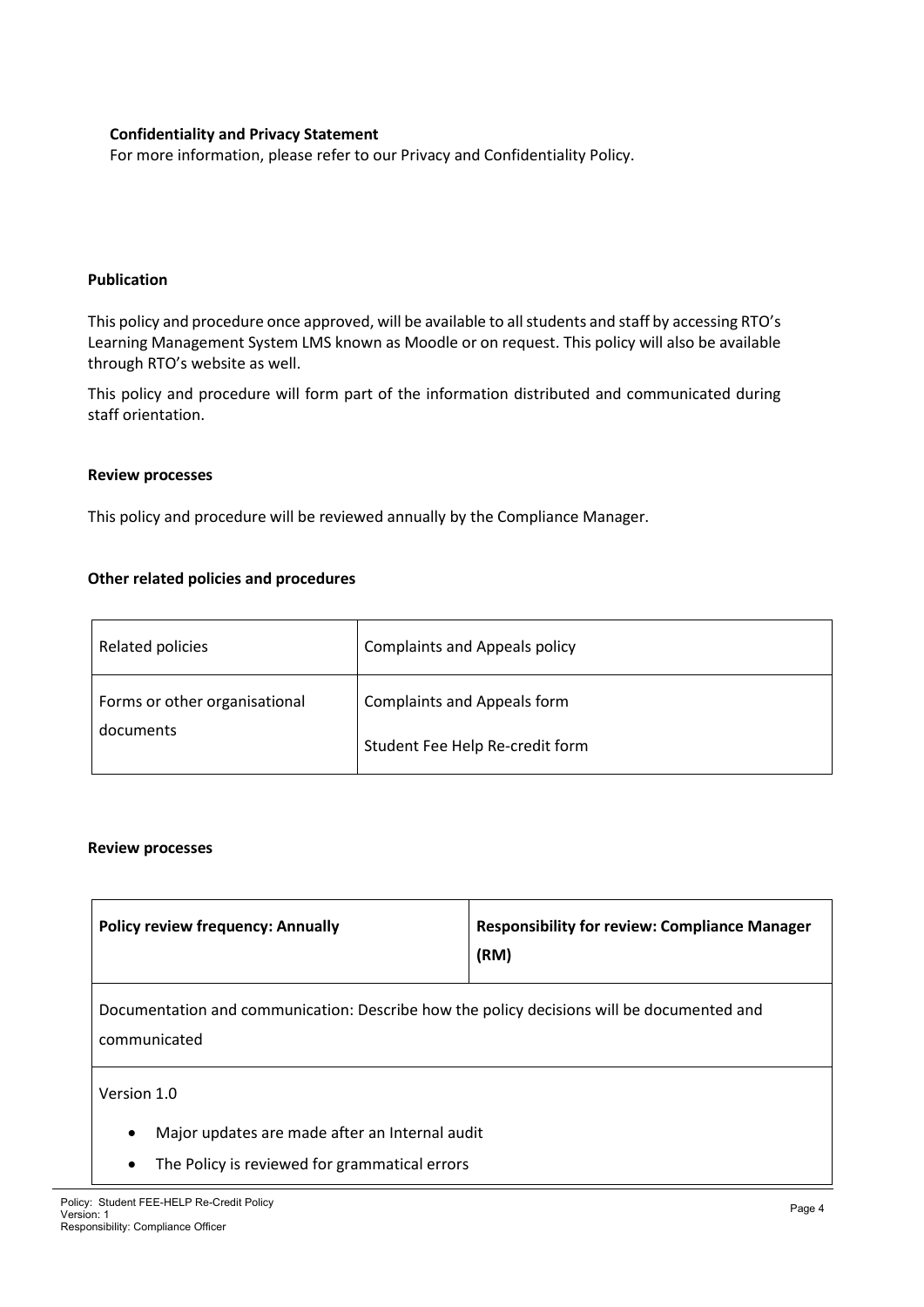## **Confidentiality and Privacy Statement**

For more information, please refer to our Privacy and Confidentiality Policy.

## **Publication**

This policy and procedure once approved, will be available to all students and staff by accessing RTO's Learning Management System LMS known as Moodle or on request. This policy will also be available through RTO's website as well.

This policy and procedure will form part of the information distributed and communicated during staff orientation.

## **Review processes**

This policy and procedure will be reviewed annually by the Compliance Manager.

## **Other related policies and procedures**

| Related policies              | <b>Complaints and Appeals policy</b> |
|-------------------------------|--------------------------------------|
| Forms or other organisational | <b>Complaints and Appeals form</b>   |
| documents                     | Student Fee Help Re-credit form      |

## **Review processes**

| <b>Policy review frequency: Annually</b>                                                                  | <b>Responsibility for review: Compliance Manager</b><br>(RM) |  |  |  |
|-----------------------------------------------------------------------------------------------------------|--------------------------------------------------------------|--|--|--|
| Documentation and communication: Describe how the policy decisions will be documented and<br>communicated |                                                              |  |  |  |
| Version 1.0                                                                                               |                                                              |  |  |  |
| Major updates are made after an Internal audit<br>$\bullet$                                               |                                                              |  |  |  |
| The Policy is reviewed for grammatical errors<br>٠                                                        |                                                              |  |  |  |
| r: Student FFF-HFI P Re-Credit Policy                                                                     |                                                              |  |  |  |